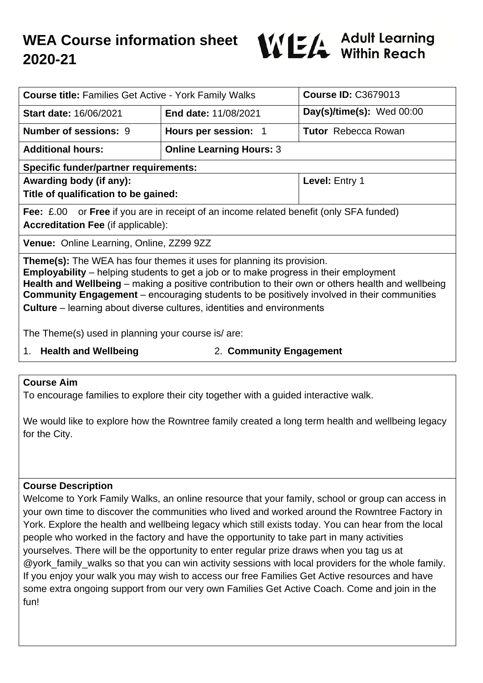

| <b>Course title: Families Get Active - York Family Walks</b>                                                                                                                                                                                                                                                                                                                                                                                                            |                                 | <b>Course ID: C3679013</b>  |  |  |
|-------------------------------------------------------------------------------------------------------------------------------------------------------------------------------------------------------------------------------------------------------------------------------------------------------------------------------------------------------------------------------------------------------------------------------------------------------------------------|---------------------------------|-----------------------------|--|--|
| <b>Start date: 16/06/2021</b>                                                                                                                                                                                                                                                                                                                                                                                                                                           | <b>End date: 11/08/2021</b>     | Day(s)/time(s): $Wed 00:00$ |  |  |
| <b>Number of sessions: 9</b>                                                                                                                                                                                                                                                                                                                                                                                                                                            | Hours per session: 1            | <b>Tutor</b> Rebecca Rowan  |  |  |
| <b>Additional hours:</b>                                                                                                                                                                                                                                                                                                                                                                                                                                                | <b>Online Learning Hours: 3</b> |                             |  |  |
| <b>Specific funder/partner requirements:</b>                                                                                                                                                                                                                                                                                                                                                                                                                            |                                 |                             |  |  |
| Awarding body (if any):                                                                                                                                                                                                                                                                                                                                                                                                                                                 |                                 | Level: Entry 1              |  |  |
| Title of qualification to be gained:                                                                                                                                                                                                                                                                                                                                                                                                                                    |                                 |                             |  |  |
| <b>Fee:</b> £.00 or <b>Free</b> if you are in receipt of an income related benefit (only SFA funded)                                                                                                                                                                                                                                                                                                                                                                    |                                 |                             |  |  |
| <b>Accreditation Fee (if applicable):</b>                                                                                                                                                                                                                                                                                                                                                                                                                               |                                 |                             |  |  |
| Venue: Online Learning, Online, ZZ99 9ZZ                                                                                                                                                                                                                                                                                                                                                                                                                                |                                 |                             |  |  |
| <b>Theme(s):</b> The WEA has four themes it uses for planning its provision.<br><b>Employability</b> – helping students to get a job or to make progress in their employment<br>Health and Wellbeing - making a positive contribution to their own or others health and wellbeing<br><b>Community Engagement</b> – encouraging students to be positively involved in their communities<br><b>Culture</b> – learning about diverse cultures, identities and environments |                                 |                             |  |  |
| The Theme(s) used in planning your course is/are:                                                                                                                                                                                                                                                                                                                                                                                                                       |                                 |                             |  |  |
| 1. Health and Wellbeing                                                                                                                                                                                                                                                                                                                                                                                                                                                 |                                 | 2. Community Engagement     |  |  |

#### **Course Aim**

To encourage families to explore their city together with a guided interactive walk.

We would like to explore how the Rowntree family created a long term health and wellbeing legacy for the City.

### **Course Description**

Welcome to York Family Walks, an online resource that your family, school or group can access in your own time to discover the communities who lived and worked around the Rowntree Factory in York. Explore the health and wellbeing legacy which still exists today. You can hear from the local people who worked in the factory and have the opportunity to take part in many activities yourselves. There will be the opportunity to enter regular prize draws when you tag us at @york family walks so that you can win activity sessions with local providers for the whole family. If you enjoy your walk you may wish to access our free Families Get Active resources and have some extra ongoing support from our very own Families Get Active Coach. Come and join in the fun!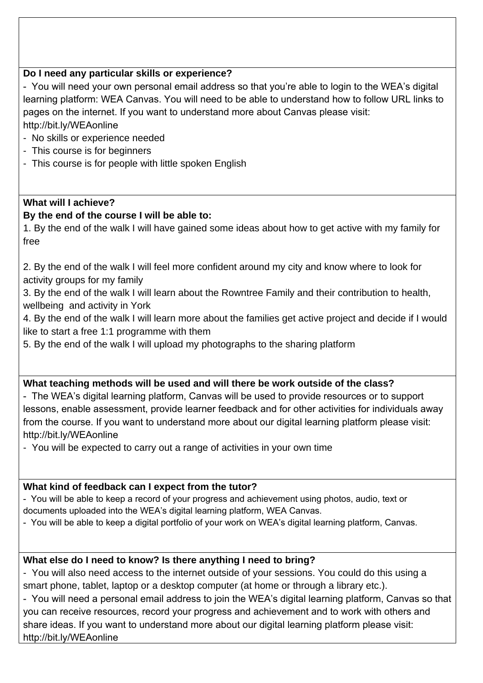### **Do I need any particular skills or experience?**

- You will need your own personal email address so that you're able to login to the WEA's digital learning platform: WEA Canvas. You will need to be able to understand how to follow URL links to pages on the internet. If you want to understand more about Canvas please visit: http://bit.ly/WEAonline

- No skills or experience needed
- This course is for beginners
- This course is for people with little spoken English

## **What will I achieve?**

## **By the end of the course I will be able to:**

1. By the end of the walk I will have gained some ideas about how to get active with my family for free

2. By the end of the walk I will feel more confident around my city and know where to look for activity groups for my family

3. By the end of the walk I will learn about the Rowntree Family and their contribution to health, wellbeing and activity in York

4. By the end of the walk I will learn more about the families get active project and decide if I would like to start a free 1:1 programme with them

5. By the end of the walk I will upload my photographs to the sharing platform

### **What teaching methods will be used and will there be work outside of the class?**

- The WEA's digital learning platform, Canvas will be used to provide resources or to support lessons, enable assessment, provide learner feedback and for other activities for individuals away from the course. If you want to understand more about our digital learning platform please visit: http://bit.ly/WEAonline

- You will be expected to carry out a range of activities in your own time

### **What kind of feedback can I expect from the tutor?**

- You will be able to keep a record of your progress and achievement using photos, audio, text or

documents uploaded into the WEA's digital learning platform, WEA Canvas.

- You will be able to keep a digital portfolio of your work on WEA's digital learning platform, Canvas.

# **What else do I need to know? Is there anything I need to bring?**

- You will also need access to the internet outside of your sessions. You could do this using a smart phone, tablet, laptop or a desktop computer (at home or through a library etc.).

- You will need a personal email address to join the WEA's digital learning platform, Canvas so that you can receive resources, record your progress and achievement and to work with others and share ideas. If you want to understand more about our digital learning platform please visit: http://bit.ly/WEAonline